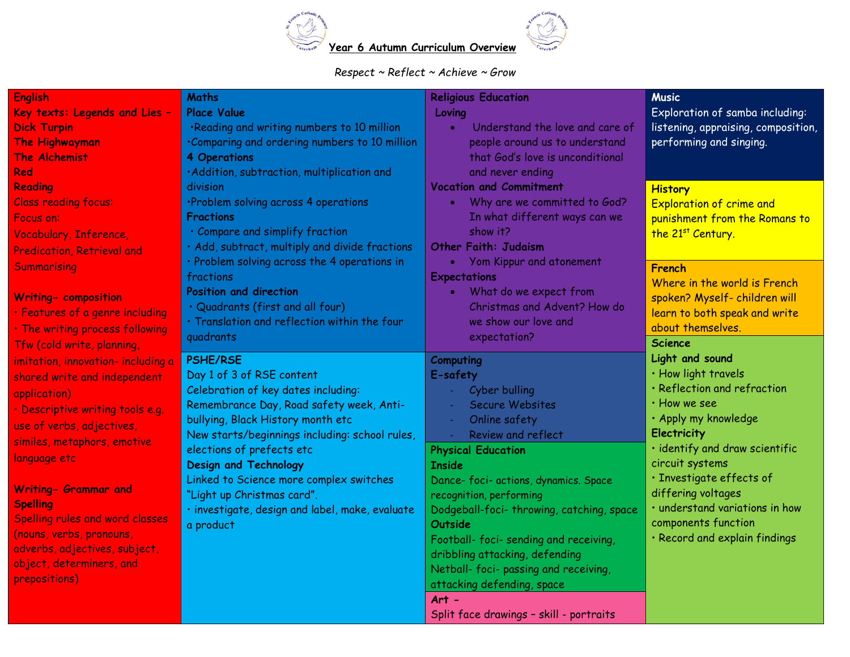

## *Respect ~ Reflect ~ Achieve ~ Grow*

| <b>English</b>                     | <b>Maths</b>                                    | <b>Religious Education</b>                   | <b>Music</b>                        |
|------------------------------------|-------------------------------------------------|----------------------------------------------|-------------------------------------|
| Key texts: Legends and Lies -      | <b>Place Value</b>                              | Loving                                       | Exploration of samba including:     |
| <b>Dick Turpin</b>                 | .Reading and writing numbers to 10 million      | Understand the love and care of<br>$\bullet$ | listening, appraising, composition, |
| <b>The Highwayman</b>              | .Comparing and ordering numbers to 10 million   | people around us to understand               | performing and singing.             |
| The Alchemist                      | 4 Operations                                    | that God's love is unconditional             |                                     |
| Red                                | ·Addition, subtraction, multiplication and      | and never ending                             |                                     |
| <b>Reading</b>                     | division                                        | <b>Vocation and Commitment</b>               | <b>History</b>                      |
| <b>Class reading focus:</b>        | ·Problem solving across 4 operations            | Why are we committed to God?<br>$\bullet$    | <b>Exploration of crime and</b>     |
| Focus on:                          | <b>Fractions</b>                                | In what different ways can we                | punishment from the Romans to       |
| Vocabulary, Inference,             | · Compare and simplify fraction                 | show it?                                     | the 21st Century.                   |
| <b>Predication, Retrieval and</b>  | · Add, subtract, multiply and divide fractions  | <b>Other Faith: Judaism</b>                  |                                     |
| Summarising                        | · Problem solving across the 4 operations in    | Yom Kippur and atonement                     | French                              |
|                                    | fractions                                       | <b>Expectations</b>                          | Where in the world is French        |
| <b>Writing- composition</b>        | <b>Position and direction</b>                   | What do we expect from                       | spoken? Myself- children will       |
| · Features of a genre including    | · Quadrants (first and all four)                | Christmas and Advent? How do                 | learn to both speak and write       |
| . The writing process following    | · Translation and reflection within the four    | we show our love and                         | about themselves.                   |
| Tfw (cold write, planning,         | quadrants                                       | expectation?                                 | <b>Science</b>                      |
| imitation, innovation- including a | <b>PSHE/RSE</b>                                 | Computing                                    | Light and sound                     |
| shared write and independent       | Day 1 of 3 of RSE content                       | E-safety                                     | · How light travels                 |
|                                    | Celebration of key dates including:             | Cyber bulling                                | · Reflection and refraction         |
| application)                       | Remembrance Day, Road safety week, Anti-        | Secure Websites<br>$\sim$                    | · How we see                        |
| · Descriptive writing tools e.g.   | bullying, Black History month etc               | Online safety<br>$\sim$                      | · Apply my knowledge                |
| use of verbs, adjectives,          | New starts/beginnings including: school rules,  | Review and reflect<br>$\mathcal{L}$          | Electricity                         |
| similes, metaphors, emotive        | elections of prefects etc                       | <b>Physical Education</b>                    | · identify and draw scientific      |
| language etc                       | <b>Design and Technology</b>                    | <b>Inside</b>                                | circuit systems                     |
|                                    | Linked to Science more complex switches         | Dance- foci- actions, dynamics. Space        | · Investigate effects of            |
| Writing- Grammar and               | "Light up Christmas card".                      | recognition, performing                      | differing voltages                  |
| <b>Spelling</b>                    | · investigate, design and label, make, evaluate | Dodgeball-foci-throwing, catching, space     | · understand variations in how      |
| Spelling rules and word classes    | a product                                       | <b>Outside</b>                               | components function                 |
| (nouns, verbs, pronouns,           |                                                 | Football-foci-sending and receiving,         | · Record and explain findings       |
| adverbs, adjectives, subject,      |                                                 | dribbling attacking, defending               |                                     |
| object, determiners, and           |                                                 | Netball- foci- passing and receiving,        |                                     |
| prepositions)                      |                                                 | attacking defending, space                   |                                     |
|                                    |                                                 | $Art -$                                      |                                     |
|                                    |                                                 | Split face drawings - skill - portraits      |                                     |